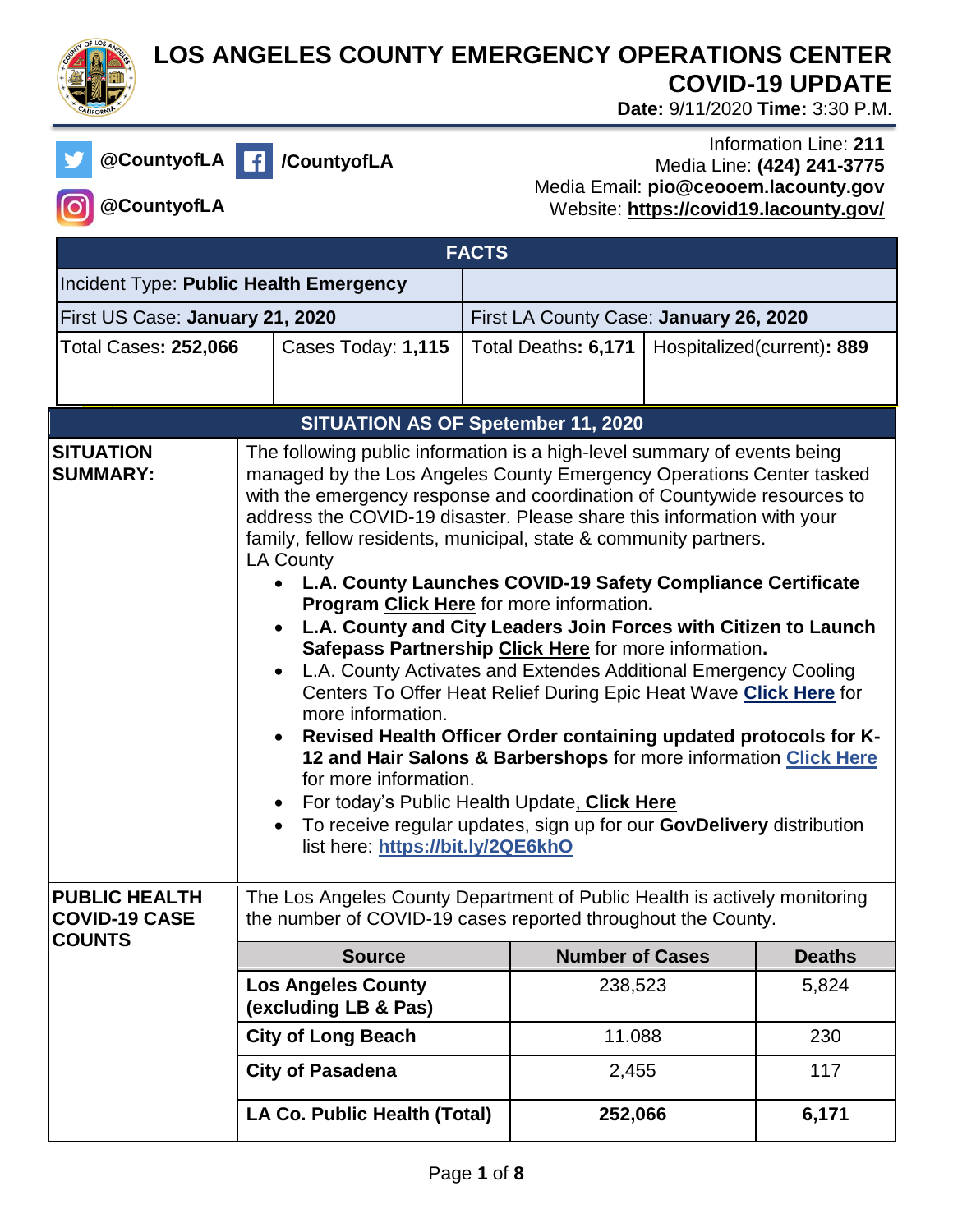

## **LOS ANGELES COUNTY EMERGENCY OPERATIONS CENTER COVID-19 UPDATE**

 **Date:** 9/11/2020 **Time:** 3:30 P.M.

**@CountyofLA /CountyofLA**

## Information Line: **211** Media Line: **(424) 241-3775** Media Email: **pio@ceooem.lacounty.gov** Website: **<https://covid19.lacounty.gov/>**

**@CountyofLA**

| <b>FACTS</b>                                                  |                                                                                                                                                                                                                                                                                                                                                                                                                                                                                                                                                                                                                                                                                                                                                                                                                                                                                                                                                                                                                                                                                                                                                                                                                       |                                                   |  |                                        |  |                            |
|---------------------------------------------------------------|-----------------------------------------------------------------------------------------------------------------------------------------------------------------------------------------------------------------------------------------------------------------------------------------------------------------------------------------------------------------------------------------------------------------------------------------------------------------------------------------------------------------------------------------------------------------------------------------------------------------------------------------------------------------------------------------------------------------------------------------------------------------------------------------------------------------------------------------------------------------------------------------------------------------------------------------------------------------------------------------------------------------------------------------------------------------------------------------------------------------------------------------------------------------------------------------------------------------------|---------------------------------------------------|--|----------------------------------------|--|----------------------------|
| Incident Type: Public Health Emergency                        |                                                                                                                                                                                                                                                                                                                                                                                                                                                                                                                                                                                                                                                                                                                                                                                                                                                                                                                                                                                                                                                                                                                                                                                                                       |                                                   |  |                                        |  |                            |
| First US Case: January 21, 2020                               |                                                                                                                                                                                                                                                                                                                                                                                                                                                                                                                                                                                                                                                                                                                                                                                                                                                                                                                                                                                                                                                                                                                                                                                                                       |                                                   |  | First LA County Case: January 26, 2020 |  |                            |
| <b>Total Cases: 252,066</b>                                   |                                                                                                                                                                                                                                                                                                                                                                                                                                                                                                                                                                                                                                                                                                                                                                                                                                                                                                                                                                                                                                                                                                                                                                                                                       | Cases Today: 1,115                                |  | Total Deaths: 6,171                    |  | Hospitalized(current): 889 |
|                                                               |                                                                                                                                                                                                                                                                                                                                                                                                                                                                                                                                                                                                                                                                                                                                                                                                                                                                                                                                                                                                                                                                                                                                                                                                                       |                                                   |  |                                        |  |                            |
|                                                               |                                                                                                                                                                                                                                                                                                                                                                                                                                                                                                                                                                                                                                                                                                                                                                                                                                                                                                                                                                                                                                                                                                                                                                                                                       |                                                   |  |                                        |  |                            |
| <b>SITUATION</b><br><b>SUMMARY:</b>                           | <b>SITUATION AS OF Spetember 11, 2020</b><br>The following public information is a high-level summary of events being<br>managed by the Los Angeles County Emergency Operations Center tasked<br>with the emergency response and coordination of Countywide resources to<br>address the COVID-19 disaster. Please share this information with your<br>family, fellow residents, municipal, state & community partners.<br><b>LA County</b><br>• L.A. County Launches COVID-19 Safety Compliance Certificate<br>Program Click Here for more information.<br>L.A. County and City Leaders Join Forces with Citizen to Launch<br>Safepass Partnership Click Here for more information.<br>L.A. County Activates and Extendes Additional Emergency Cooling<br>$\bullet$<br>Centers To Offer Heat Relief During Epic Heat Wave Click Here for<br>more information.<br>Revised Health Officer Order containing updated protocols for K-<br>$\bullet$<br>12 and Hair Salons & Barbershops for more information Click Here<br>for more information.<br>For today's Public Health Update, Click Here<br>To receive regular updates, sign up for our GovDelivery distribution<br>$\bullet$<br>list here: https://bit.ly/2QE6khO |                                                   |  |                                        |  |                            |
| <b>PUBLIC HEALTH</b><br><b>COVID-19 CASE</b><br><b>COUNTS</b> | The Los Angeles County Department of Public Health is actively monitoring<br>the number of COVID-19 cases reported throughout the County.                                                                                                                                                                                                                                                                                                                                                                                                                                                                                                                                                                                                                                                                                                                                                                                                                                                                                                                                                                                                                                                                             |                                                   |  |                                        |  |                            |
|                                                               |                                                                                                                                                                                                                                                                                                                                                                                                                                                                                                                                                                                                                                                                                                                                                                                                                                                                                                                                                                                                                                                                                                                                                                                                                       | <b>Source</b>                                     |  | <b>Number of Cases</b>                 |  | <b>Deaths</b>              |
|                                                               |                                                                                                                                                                                                                                                                                                                                                                                                                                                                                                                                                                                                                                                                                                                                                                                                                                                                                                                                                                                                                                                                                                                                                                                                                       | <b>Los Angeles County</b><br>(excluding LB & Pas) |  | 238,523                                |  | 5,824                      |
|                                                               |                                                                                                                                                                                                                                                                                                                                                                                                                                                                                                                                                                                                                                                                                                                                                                                                                                                                                                                                                                                                                                                                                                                                                                                                                       | <b>City of Long Beach</b>                         |  | 11.088                                 |  | 230                        |
|                                                               |                                                                                                                                                                                                                                                                                                                                                                                                                                                                                                                                                                                                                                                                                                                                                                                                                                                                                                                                                                                                                                                                                                                                                                                                                       | <b>City of Pasadena</b>                           |  | 2,455                                  |  | 117                        |
|                                                               |                                                                                                                                                                                                                                                                                                                                                                                                                                                                                                                                                                                                                                                                                                                                                                                                                                                                                                                                                                                                                                                                                                                                                                                                                       | LA Co. Public Health (Total)                      |  | 252,066                                |  | 6,171                      |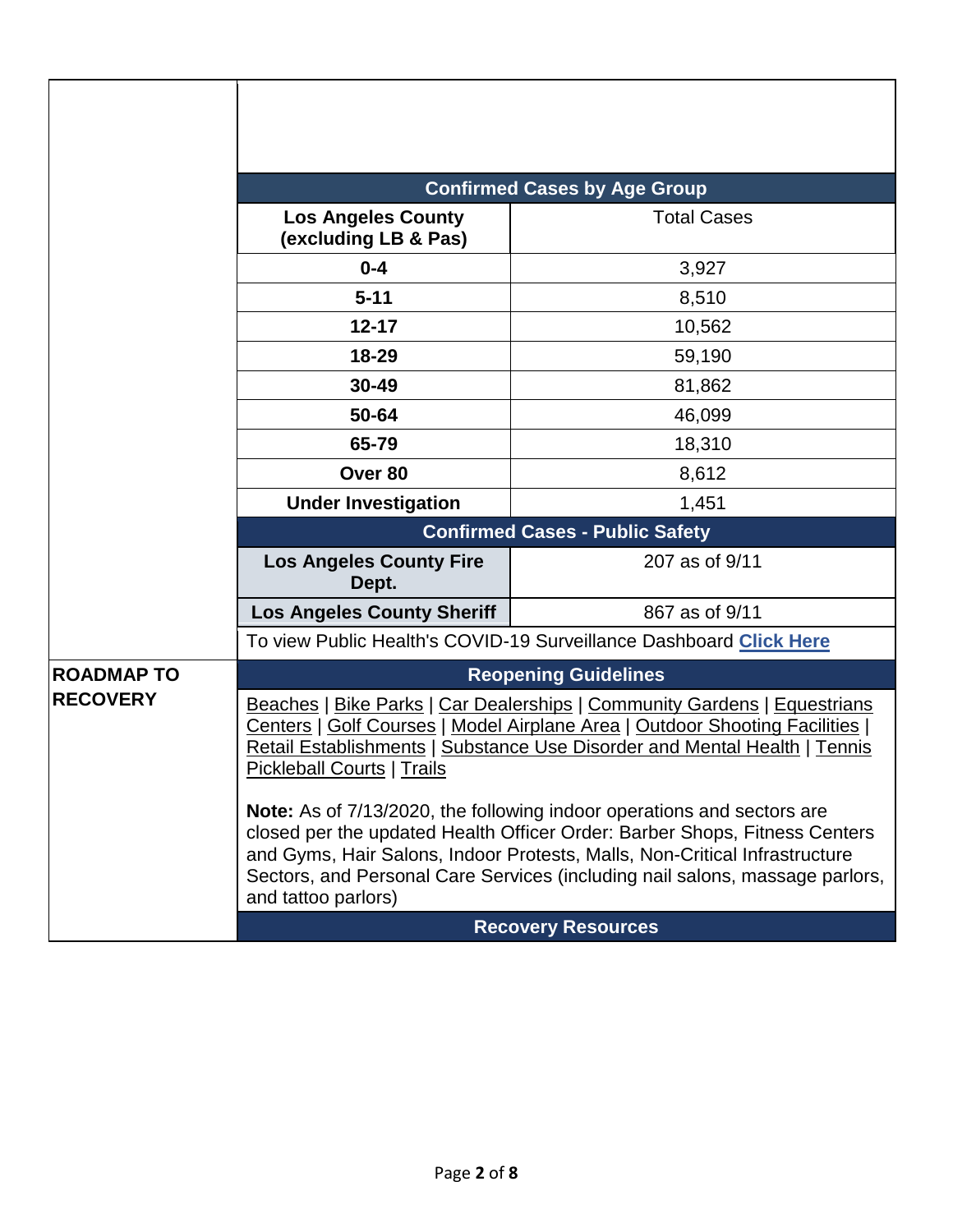|                   | <b>Confirmed Cases by Age Group</b>                                                                                                                                                                                                                                                                                                              |                    |  |  |  |
|-------------------|--------------------------------------------------------------------------------------------------------------------------------------------------------------------------------------------------------------------------------------------------------------------------------------------------------------------------------------------------|--------------------|--|--|--|
|                   | <b>Los Angeles County</b><br>(excluding LB & Pas)                                                                                                                                                                                                                                                                                                | <b>Total Cases</b> |  |  |  |
|                   | $0 - 4$                                                                                                                                                                                                                                                                                                                                          | 3,927              |  |  |  |
|                   | $5 - 11$                                                                                                                                                                                                                                                                                                                                         | 8,510              |  |  |  |
|                   | $12 - 17$                                                                                                                                                                                                                                                                                                                                        | 10,562             |  |  |  |
|                   | 18-29                                                                                                                                                                                                                                                                                                                                            | 59,190             |  |  |  |
|                   | 30-49                                                                                                                                                                                                                                                                                                                                            | 81,862             |  |  |  |
|                   | 50-64                                                                                                                                                                                                                                                                                                                                            | 46,099             |  |  |  |
|                   | 65-79                                                                                                                                                                                                                                                                                                                                            | 18,310             |  |  |  |
|                   | Over 80                                                                                                                                                                                                                                                                                                                                          | 8,612              |  |  |  |
|                   | <b>Under Investigation</b>                                                                                                                                                                                                                                                                                                                       | 1,451              |  |  |  |
|                   | <b>Confirmed Cases - Public Safety</b>                                                                                                                                                                                                                                                                                                           |                    |  |  |  |
|                   | <b>Los Angeles County Fire</b><br>Dept.                                                                                                                                                                                                                                                                                                          | 207 as of 9/11     |  |  |  |
|                   | <b>Los Angeles County Sheriff</b>                                                                                                                                                                                                                                                                                                                | 867 as of 9/11     |  |  |  |
|                   | To view Public Health's COVID-19 Surveillance Dashboard Click Here                                                                                                                                                                                                                                                                               |                    |  |  |  |
| <b>ROADMAP TO</b> | <b>Reopening Guidelines</b>                                                                                                                                                                                                                                                                                                                      |                    |  |  |  |
| <b>RECOVERY</b>   | Beaches   Bike Parks   Car Dealerships   Community Gardens   Equestrians<br>Centers   Golf Courses   Model Airplane Area   Outdoor Shooting Facilities  <br>Retail Establishments   Substance Use Disorder and Mental Health   Tennis<br><b>Pickleball Courts   Trails</b>                                                                       |                    |  |  |  |
|                   | <b>Note:</b> As of 7/13/2020, the following indoor operations and sectors are<br>closed per the updated Health Officer Order: Barber Shops, Fitness Centers<br>and Gyms, Hair Salons, Indoor Protests, Malls, Non-Critical Infrastructure<br>Sectors, and Personal Care Services (including nail salons, massage parlors,<br>and tattoo parlors) |                    |  |  |  |
|                   | <b>Recovery Resources</b>                                                                                                                                                                                                                                                                                                                        |                    |  |  |  |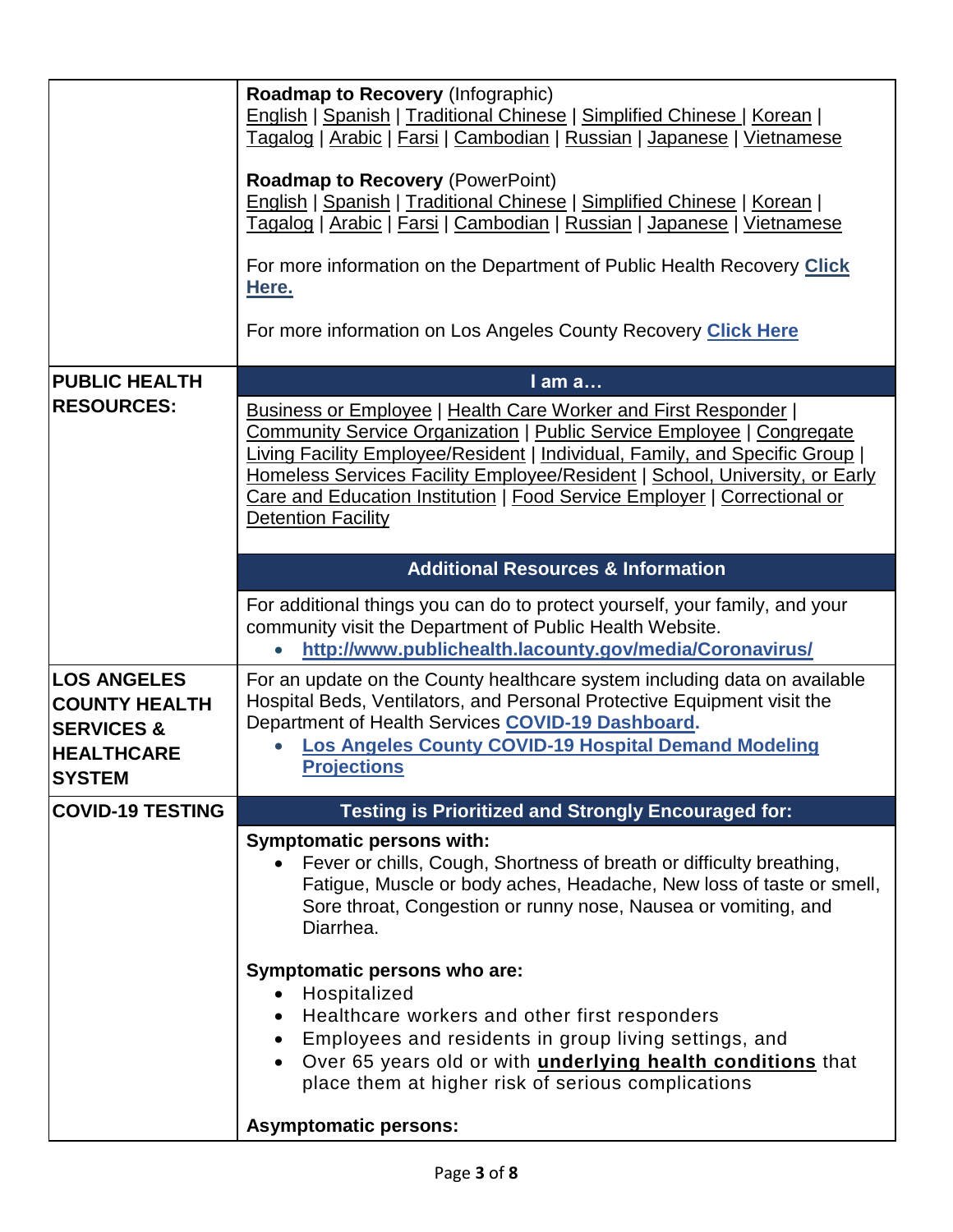|                                                                                                           | <b>Roadmap to Recovery (Infographic)</b><br>English   Spanish   Traditional Chinese   Simplified Chinese   Korean  <br>Tagalog   Arabic   Farsi   Cambodian   Russian   Japanese   Vietnamese<br><b>Roadmap to Recovery (PowerPoint)</b><br>English   Spanish   Traditional Chinese   Simplified Chinese   Korean  <br><u>Tagalog   Arabic   Farsi   Cambodian   Russian   Japanese   Vietnamese</u><br>For more information on the Department of Public Health Recovery Click<br>Here.<br>For more information on Los Angeles County Recovery <b>Click Here</b> |  |  |  |
|-----------------------------------------------------------------------------------------------------------|------------------------------------------------------------------------------------------------------------------------------------------------------------------------------------------------------------------------------------------------------------------------------------------------------------------------------------------------------------------------------------------------------------------------------------------------------------------------------------------------------------------------------------------------------------------|--|--|--|
| <b>PUBLIC HEALTH</b>                                                                                      | I am a                                                                                                                                                                                                                                                                                                                                                                                                                                                                                                                                                           |  |  |  |
| <b>RESOURCES:</b>                                                                                         | <b>Business or Employee   Health Care Worker and First Responder  </b><br>Community Service Organization   Public Service Employee   Congregate<br>Living Facility Employee/Resident   Individual, Family, and Specific Group  <br>Homeless Services Facility Employee/Resident   School, University, or Early<br>Care and Education Institution   Food Service Employer   Correctional or<br><b>Detention Facility</b>                                                                                                                                          |  |  |  |
|                                                                                                           | <b>Additional Resources &amp; Information</b>                                                                                                                                                                                                                                                                                                                                                                                                                                                                                                                    |  |  |  |
|                                                                                                           | For additional things you can do to protect yourself, your family, and your<br>community visit the Department of Public Health Website.<br>http://www.publichealth.lacounty.gov/media/Coronavirus/<br>$\bullet$                                                                                                                                                                                                                                                                                                                                                  |  |  |  |
| <b>LOS ANGELES</b><br><b>COUNTY HEALTH</b><br><b>SERVICES &amp;</b><br><b>HEALTHCARE</b><br><b>SYSTEM</b> | For an update on the County healthcare system including data on available<br>Hospital Beds, Ventilators, and Personal Protective Equipment visit the<br>Department of Health Services COVID-19 Dashboard.<br>Los Angeles County COVID-19 Hospital Demand Modeling<br><b>Projections</b>                                                                                                                                                                                                                                                                          |  |  |  |
| <b>COVID-19 TESTING</b>                                                                                   | <b>Testing is Prioritized and Strongly Encouraged for:</b>                                                                                                                                                                                                                                                                                                                                                                                                                                                                                                       |  |  |  |
|                                                                                                           | <b>Symptomatic persons with:</b><br>Fever or chills, Cough, Shortness of breath or difficulty breathing,<br>Fatigue, Muscle or body aches, Headache, New loss of taste or smell,<br>Sore throat, Congestion or runny nose, Nausea or vomiting, and<br>Diarrhea.                                                                                                                                                                                                                                                                                                  |  |  |  |
|                                                                                                           | Symptomatic persons who are:<br>Hospitalized<br>$\bullet$<br>Healthcare workers and other first responders<br>Employees and residents in group living settings, and<br>Over 65 years old or with <i>underlying health conditions</i> that<br>$\bullet$<br>place them at higher risk of serious complications                                                                                                                                                                                                                                                     |  |  |  |
|                                                                                                           | <b>Asymptomatic persons:</b>                                                                                                                                                                                                                                                                                                                                                                                                                                                                                                                                     |  |  |  |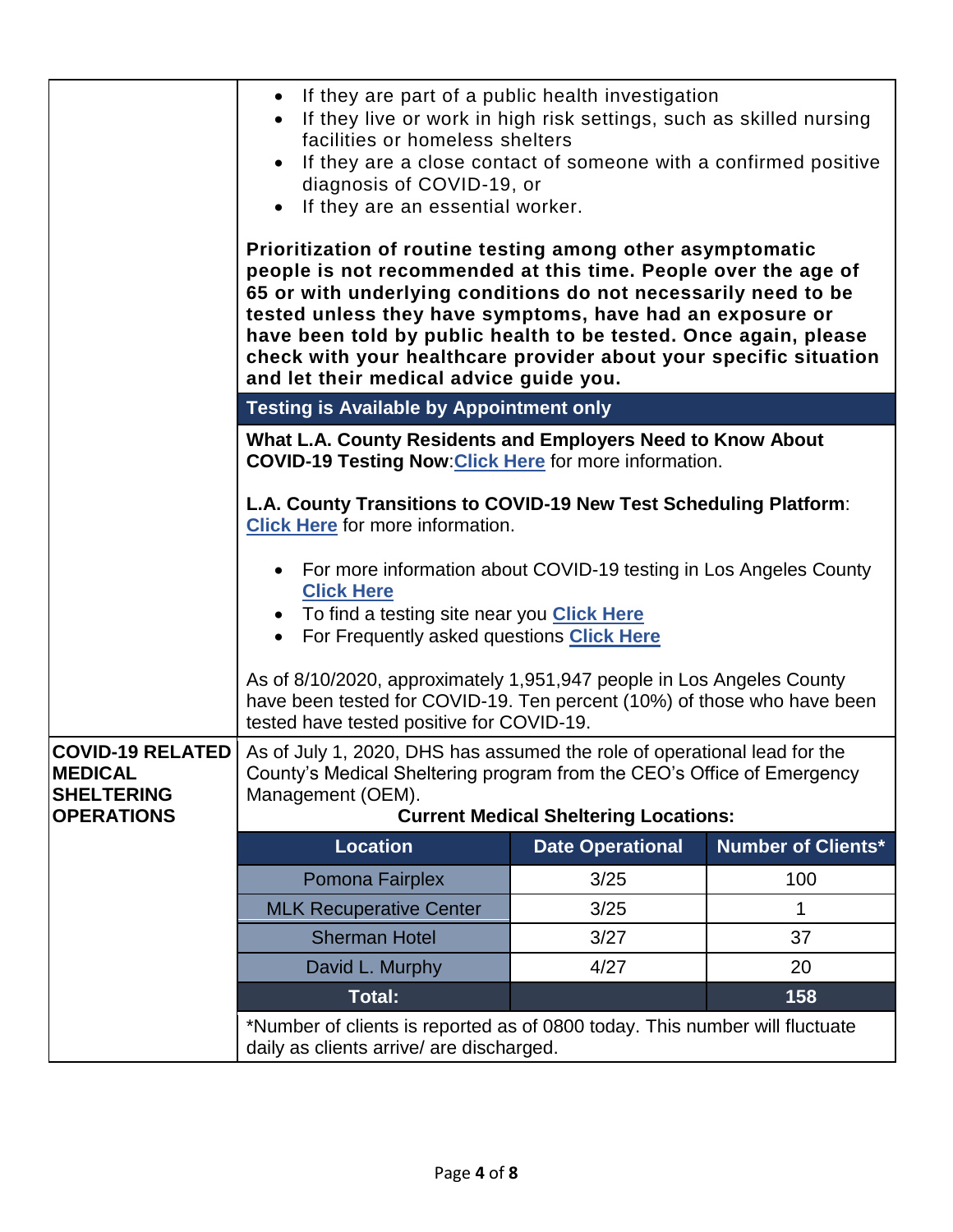|                                                                                     | If they are part of a public health investigation<br>$\bullet$<br>If they live or work in high risk settings, such as skilled nursing<br>facilities or homeless shelters<br>If they are a close contact of someone with a confirmed positive<br>$\bullet$<br>diagnosis of COVID-19, or<br>If they are an essential worker.<br>$\bullet$<br>Prioritization of routine testing among other asymptomatic<br>people is not recommended at this time. People over the age of<br>65 or with underlying conditions do not necessarily need to be<br>tested unless they have symptoms, have had an exposure or<br>have been told by public health to be tested. Once again, please<br>check with your healthcare provider about your specific situation<br>and let their medical advice guide you. |                         |                           |  |  |
|-------------------------------------------------------------------------------------|--------------------------------------------------------------------------------------------------------------------------------------------------------------------------------------------------------------------------------------------------------------------------------------------------------------------------------------------------------------------------------------------------------------------------------------------------------------------------------------------------------------------------------------------------------------------------------------------------------------------------------------------------------------------------------------------------------------------------------------------------------------------------------------------|-------------------------|---------------------------|--|--|
|                                                                                     | <b>Testing is Available by Appointment only</b>                                                                                                                                                                                                                                                                                                                                                                                                                                                                                                                                                                                                                                                                                                                                            |                         |                           |  |  |
|                                                                                     | What L.A. County Residents and Employers Need to Know About<br><b>COVID-19 Testing Now: Click Here for more information.</b>                                                                                                                                                                                                                                                                                                                                                                                                                                                                                                                                                                                                                                                               |                         |                           |  |  |
|                                                                                     | L.A. County Transitions to COVID-19 New Test Scheduling Platform:<br><b>Click Here</b> for more information.                                                                                                                                                                                                                                                                                                                                                                                                                                                                                                                                                                                                                                                                               |                         |                           |  |  |
|                                                                                     | For more information about COVID-19 testing in Los Angeles County<br><b>Click Here</b><br>To find a testing site near you Click Here<br>For Frequently asked questions Click Here<br>$\bullet$                                                                                                                                                                                                                                                                                                                                                                                                                                                                                                                                                                                             |                         |                           |  |  |
|                                                                                     | As of 8/10/2020, approximately 1,951,947 people in Los Angeles County<br>have been tested for COVID-19. Ten percent (10%) of those who have been<br>tested have tested positive for COVID-19.                                                                                                                                                                                                                                                                                                                                                                                                                                                                                                                                                                                              |                         |                           |  |  |
| <b>COVID-19 RELATED</b><br><b>MEDICAL</b><br><b>SHELTERING</b><br><b>OPERATIONS</b> | As of July 1, 2020, DHS has assumed the role of operational lead for the<br>County's Medical Sheltering program from the CEO's Office of Emergency<br>Management (OEM).<br><b>Current Medical Sheltering Locations:</b>                                                                                                                                                                                                                                                                                                                                                                                                                                                                                                                                                                    |                         |                           |  |  |
|                                                                                     | <b>Location</b>                                                                                                                                                                                                                                                                                                                                                                                                                                                                                                                                                                                                                                                                                                                                                                            | <b>Date Operational</b> | <b>Number of Clients*</b> |  |  |
|                                                                                     | Pomona Fairplex                                                                                                                                                                                                                                                                                                                                                                                                                                                                                                                                                                                                                                                                                                                                                                            | 3/25                    | 100                       |  |  |
|                                                                                     | <b>MLK Recuperative Center</b>                                                                                                                                                                                                                                                                                                                                                                                                                                                                                                                                                                                                                                                                                                                                                             | 3/25                    | 1                         |  |  |
|                                                                                     | <b>Sherman Hotel</b>                                                                                                                                                                                                                                                                                                                                                                                                                                                                                                                                                                                                                                                                                                                                                                       | 3/27                    | 37                        |  |  |
|                                                                                     | David L. Murphy                                                                                                                                                                                                                                                                                                                                                                                                                                                                                                                                                                                                                                                                                                                                                                            | 4/27                    | 20                        |  |  |
|                                                                                     |                                                                                                                                                                                                                                                                                                                                                                                                                                                                                                                                                                                                                                                                                                                                                                                            | 158                     |                           |  |  |
|                                                                                     | *Number of clients is reported as of 0800 today. This number will fluctuate<br>daily as clients arrive/ are discharged.                                                                                                                                                                                                                                                                                                                                                                                                                                                                                                                                                                                                                                                                    |                         |                           |  |  |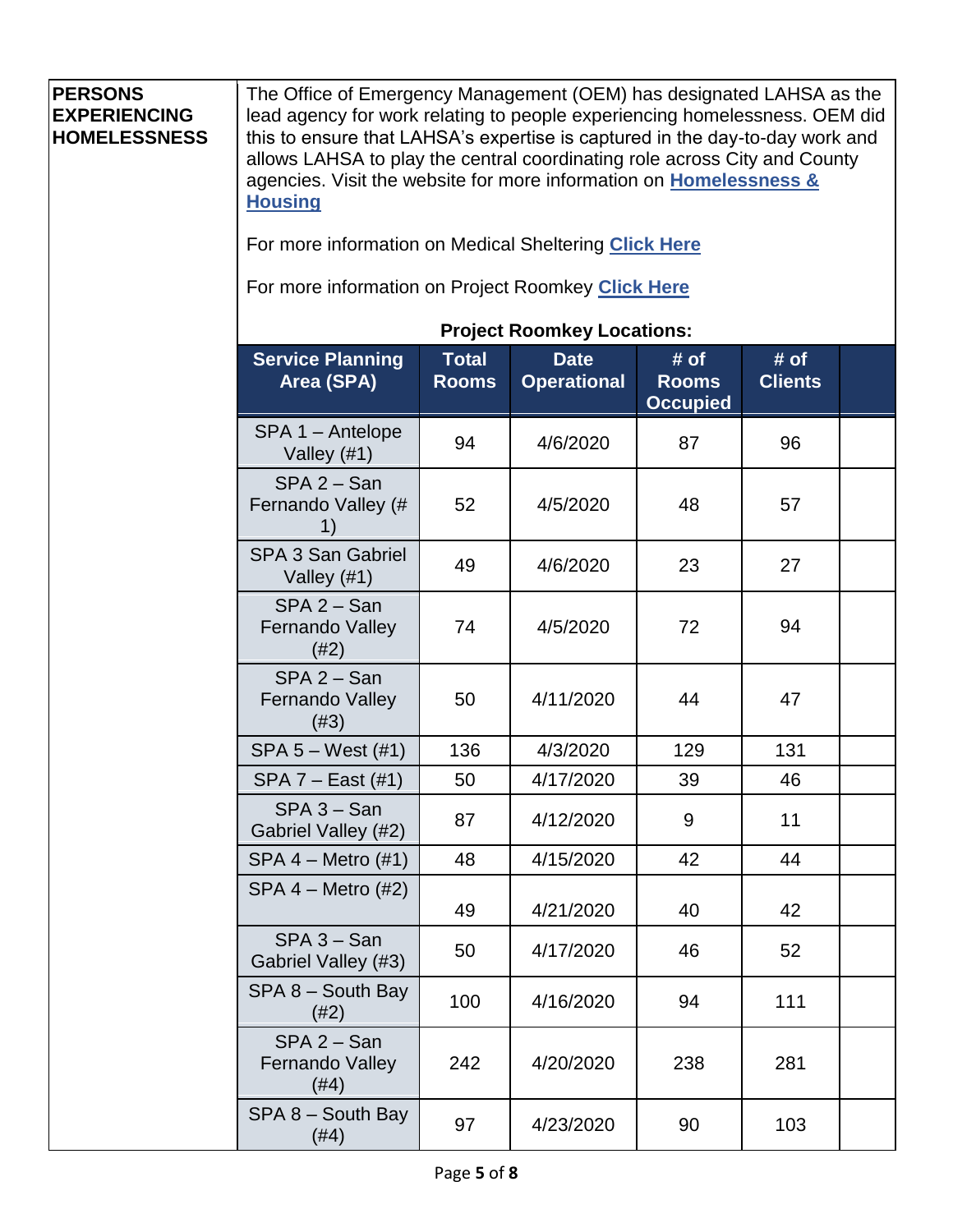| <b>PERSONS</b><br><b>EXPERIENCING</b><br><b>HOMELESSNESS</b> | The Office of Emergency Management (OEM) has designated LAHSA as the<br>lead agency for work relating to people experiencing homelessness. OEM did<br>this to ensure that LAHSA's expertise is captured in the day-to-day work and<br>allows LAHSA to play the central coordinating role across City and County<br>agencies. Visit the website for more information on <b>Homelessness &amp;</b><br><b>Housing</b><br>For more information on Medical Sheltering Click Here<br>For more information on Project Roomkey Click Here<br><b>Project Roomkey Locations:</b> |                              |                                   |                                         |                        |  |
|--------------------------------------------------------------|------------------------------------------------------------------------------------------------------------------------------------------------------------------------------------------------------------------------------------------------------------------------------------------------------------------------------------------------------------------------------------------------------------------------------------------------------------------------------------------------------------------------------------------------------------------------|------------------------------|-----------------------------------|-----------------------------------------|------------------------|--|
|                                                              | <b>Service Planning</b><br>Area (SPA)                                                                                                                                                                                                                                                                                                                                                                                                                                                                                                                                  | <b>Total</b><br><b>Rooms</b> | <b>Date</b><br><b>Operational</b> | # of<br><b>Rooms</b><br><b>Occupied</b> | # of<br><b>Clients</b> |  |
|                                                              | SPA 1 - Antelope<br>Valley (#1)                                                                                                                                                                                                                                                                                                                                                                                                                                                                                                                                        | 94                           | 4/6/2020                          | 87                                      | 96                     |  |
|                                                              | $SPA 2 - San$<br>Fernando Valley (#<br>1)                                                                                                                                                                                                                                                                                                                                                                                                                                                                                                                              | 52                           | 4/5/2020                          | 48                                      | 57                     |  |
|                                                              | <b>SPA 3 San Gabriel</b><br>Valley $(#1)$                                                                                                                                                                                                                                                                                                                                                                                                                                                                                                                              | 49                           | 4/6/2020                          | 23                                      | 27                     |  |
|                                                              | $SPA 2 - San$<br>Fernando Valley<br>(#2)                                                                                                                                                                                                                                                                                                                                                                                                                                                                                                                               | 74                           | 4/5/2020                          | 72                                      | 94                     |  |
|                                                              | $SPA 2 - San$<br><b>Fernando Valley</b><br>(#3)                                                                                                                                                                                                                                                                                                                                                                                                                                                                                                                        | 50                           | 4/11/2020                         | 44                                      | 47                     |  |
|                                                              | SPA 5 - West (#1)                                                                                                                                                                                                                                                                                                                                                                                                                                                                                                                                                      | 136                          | 4/3/2020                          | 129                                     | 131                    |  |
|                                                              | $SPA 7 - East (#1)$                                                                                                                                                                                                                                                                                                                                                                                                                                                                                                                                                    | 50                           | 4/17/2020                         | 39                                      | 46                     |  |
|                                                              | $SPA 3 - San$<br>Gabriel Valley (#2)                                                                                                                                                                                                                                                                                                                                                                                                                                                                                                                                   | 87                           | 4/12/2020                         | 9                                       | 11                     |  |
|                                                              | $SPA 4 - Metro (#1)$                                                                                                                                                                                                                                                                                                                                                                                                                                                                                                                                                   | 48                           | 4/15/2020                         | 42                                      | 44                     |  |
|                                                              | $SPA 4 - Metro (#2)$                                                                                                                                                                                                                                                                                                                                                                                                                                                                                                                                                   | 49                           | 4/21/2020                         | 40                                      | 42                     |  |
|                                                              | $SPA 3 - San$<br>Gabriel Valley (#3)                                                                                                                                                                                                                                                                                                                                                                                                                                                                                                                                   | 50                           | 4/17/2020                         | 46                                      | 52                     |  |
|                                                              | SPA 8 - South Bay<br>(#2)                                                                                                                                                                                                                                                                                                                                                                                                                                                                                                                                              | 100                          | 4/16/2020                         | 94                                      | 111                    |  |
|                                                              | $SPA 2 - San$<br>Fernando Valley<br>(#4)                                                                                                                                                                                                                                                                                                                                                                                                                                                                                                                               | 242                          | 4/20/2020                         | 238                                     | 281                    |  |
|                                                              | $SPA 8 - South Bay$<br>(#4)                                                                                                                                                                                                                                                                                                                                                                                                                                                                                                                                            | 97                           | 4/23/2020                         | 90                                      | 103                    |  |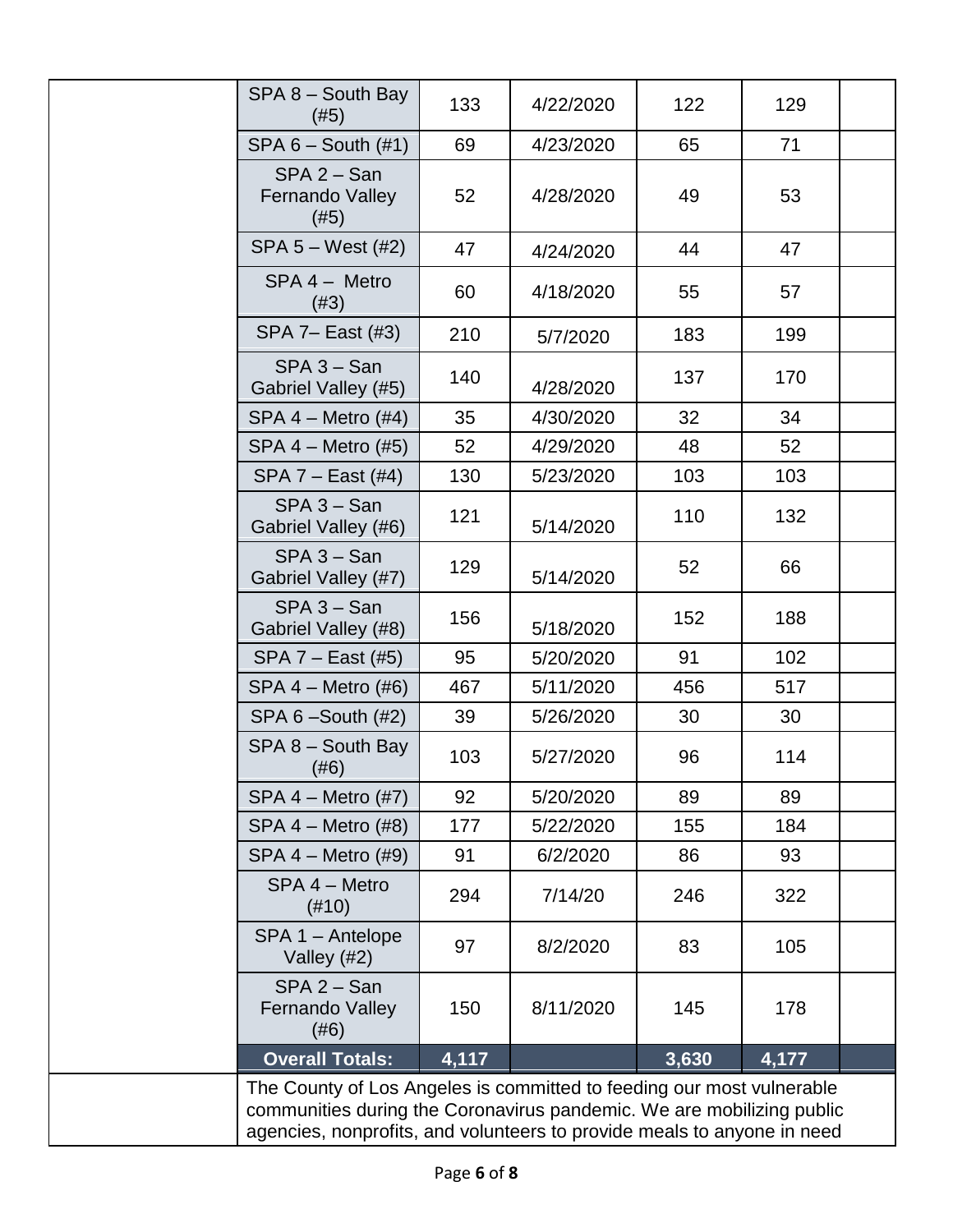| SPA 8 - South Bay<br>(#5)                                                                                                                                                                                                 | 133   | 4/22/2020 | 122   | 129   |  |
|---------------------------------------------------------------------------------------------------------------------------------------------------------------------------------------------------------------------------|-------|-----------|-------|-------|--|
| $SPA 6 - South (#1)$                                                                                                                                                                                                      | 69    | 4/23/2020 | 65    | 71    |  |
| $SPA 2 - San$<br>Fernando Valley<br>(#5)                                                                                                                                                                                  | 52    | 4/28/2020 | 49    | 53    |  |
| $SPA 5 - West (#2)$                                                                                                                                                                                                       | 47    | 4/24/2020 | 44    | 47    |  |
| SPA 4 - Metro<br>(#3)                                                                                                                                                                                                     | 60    | 4/18/2020 | 55    | 57    |  |
| SPA 7- East (#3)                                                                                                                                                                                                          | 210   | 5/7/2020  | 183   | 199   |  |
| $SPA 3 - San$<br>Gabriel Valley (#5)                                                                                                                                                                                      | 140   | 4/28/2020 | 137   | 170   |  |
| $SPA 4 - Metro (#4)$                                                                                                                                                                                                      | 35    | 4/30/2020 | 32    | 34    |  |
| $SPA 4 - Metro (#5)$                                                                                                                                                                                                      | 52    | 4/29/2020 | 48    | 52    |  |
| SPA 7 - East (#4)                                                                                                                                                                                                         | 130   | 5/23/2020 | 103   | 103   |  |
| $SPA 3 - San$<br>Gabriel Valley (#6)                                                                                                                                                                                      | 121   | 5/14/2020 | 110   | 132   |  |
| $SPA 3 - San$<br>Gabriel Valley (#7)                                                                                                                                                                                      | 129   | 5/14/2020 | 52    | 66    |  |
| $SPA 3 - San$<br>Gabriel Valley (#8)                                                                                                                                                                                      | 156   | 5/18/2020 | 152   | 188   |  |
| $SPA 7 - East (#5)$                                                                                                                                                                                                       | 95    | 5/20/2020 | 91    | 102   |  |
| $SPA 4 - Metro (#6)$                                                                                                                                                                                                      | 467   | 5/11/2020 | 456   | 517   |  |
| SPA $6 -$ South $(#2)$                                                                                                                                                                                                    | 39    | 5/26/2020 | 30    | 30    |  |
| $SPA 8 - South Bay$<br>(#6)                                                                                                                                                                                               | 103   | 5/27/2020 | 96    | 114   |  |
| $SPA 4 - Metro (#7)$                                                                                                                                                                                                      | 92    | 5/20/2020 | 89    | 89    |  |
| $SPA 4 - Metro (#8)$                                                                                                                                                                                                      | 177   | 5/22/2020 | 155   | 184   |  |
| $SPA 4 - Metro (#9)$                                                                                                                                                                                                      | 91    | 6/2/2020  | 86    | 93    |  |
| SPA 4 - Metro<br>$(\#10)$                                                                                                                                                                                                 | 294   | 7/14/20   | 246   | 322   |  |
| $SPA 1 - Antelope$<br>Valley (#2)                                                                                                                                                                                         | 97    | 8/2/2020  | 83    | 105   |  |
| $SPA 2 - San$<br><b>Fernando Valley</b><br>(#6)                                                                                                                                                                           | 150   | 8/11/2020 | 145   | 178   |  |
| <b>Overall Totals:</b>                                                                                                                                                                                                    | 4,117 |           | 3,630 | 4,177 |  |
| The County of Los Angeles is committed to feeding our most vulnerable<br>communities during the Coronavirus pandemic. We are mobilizing public<br>agencies, nonprofits, and volunteers to provide meals to anyone in need |       |           |       |       |  |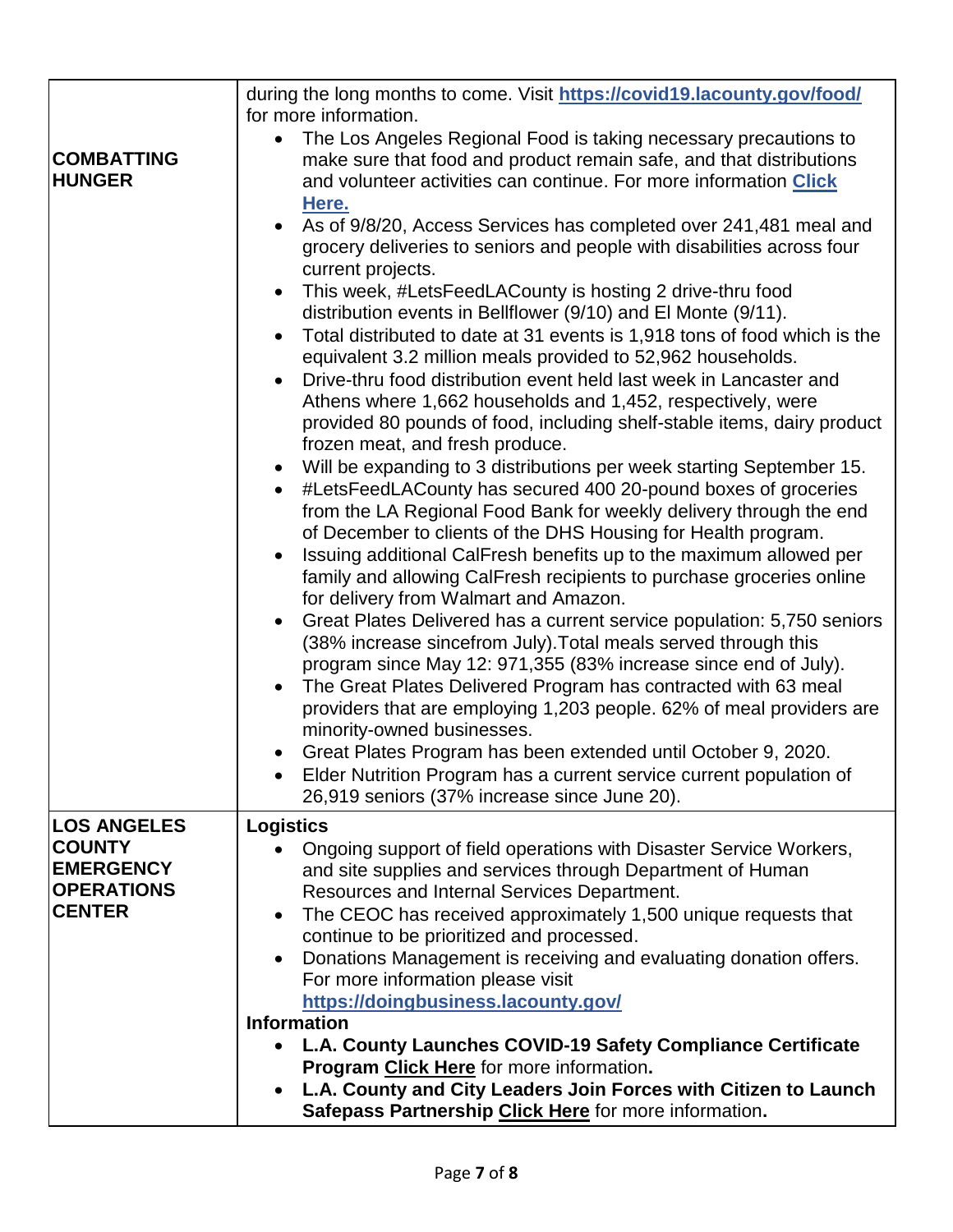|                                                        | during the long months to come. Visit https://covid19.lacounty.gov/food/<br>for more information.                                                                                                                                                                                                      |
|--------------------------------------------------------|--------------------------------------------------------------------------------------------------------------------------------------------------------------------------------------------------------------------------------------------------------------------------------------------------------|
| <b>COMBATTING</b><br><b>HUNGER</b>                     | The Los Angeles Regional Food is taking necessary precautions to<br>make sure that food and product remain safe, and that distributions<br>and volunteer activities can continue. For more information <b>Click</b><br>Here.                                                                           |
|                                                        | As of 9/8/20, Access Services has completed over 241,481 meal and<br>$\bullet$<br>grocery deliveries to seniors and people with disabilities across four<br>current projects.                                                                                                                          |
|                                                        | This week, #LetsFeedLACounty is hosting 2 drive-thru food<br>$\bullet$<br>distribution events in Bellflower (9/10) and El Monte (9/11).                                                                                                                                                                |
|                                                        | Total distributed to date at 31 events is 1,918 tons of food which is the<br>$\bullet$<br>equivalent 3.2 million meals provided to 52,962 households.<br>Drive-thru food distribution event held last week in Lancaster and<br>$\bullet$                                                               |
|                                                        | Athens where 1,662 households and 1,452, respectively, were<br>provided 80 pounds of food, including shelf-stable items, dairy product<br>frozen meat, and fresh produce.                                                                                                                              |
|                                                        | Will be expanding to 3 distributions per week starting September 15.<br>$\bullet$<br>#LetsFeedLACounty has secured 400 20-pound boxes of groceries<br>$\bullet$<br>from the LA Regional Food Bank for weekly delivery through the end<br>of December to clients of the DHS Housing for Health program. |
|                                                        | Issuing additional CalFresh benefits up to the maximum allowed per<br>$\bullet$<br>family and allowing CalFresh recipients to purchase groceries online<br>for delivery from Walmart and Amazon.                                                                                                       |
|                                                        | Great Plates Delivered has a current service population: 5,750 seniors<br>$\bullet$<br>(38% increase sincefrom July). Total meals served through this<br>program since May 12: 971,355 (83% increase since end of July).                                                                               |
|                                                        | The Great Plates Delivered Program has contracted with 63 meal<br>$\bullet$<br>providers that are employing 1,203 people. 62% of meal providers are<br>minority-owned businesses.                                                                                                                      |
|                                                        | Great Plates Program has been extended until October 9, 2020.<br>Elder Nutrition Program has a current service current population of<br>26,919 seniors (37% increase since June 20).                                                                                                                   |
| <b>LOS ANGELES</b>                                     | <b>Logistics</b>                                                                                                                                                                                                                                                                                       |
| <b>COUNTY</b><br><b>EMERGENCY</b><br><b>OPERATIONS</b> | Ongoing support of field operations with Disaster Service Workers,<br>$\bullet$<br>and site supplies and services through Department of Human<br>Resources and Internal Services Department.                                                                                                           |
| <b>CENTER</b>                                          | The CEOC has received approximately 1,500 unique requests that<br>$\bullet$<br>continue to be prioritized and processed.                                                                                                                                                                               |
|                                                        | Donations Management is receiving and evaluating donation offers.<br>$\bullet$<br>For more information please visit                                                                                                                                                                                    |
|                                                        | https://doingbusiness.lacounty.gov/<br><b>Information</b>                                                                                                                                                                                                                                              |
|                                                        | L.A. County Launches COVID-19 Safety Compliance Certificate                                                                                                                                                                                                                                            |
|                                                        | Program Click Here for more information.                                                                                                                                                                                                                                                               |
|                                                        | L.A. County and City Leaders Join Forces with Citizen to Launch<br>$\bullet$<br>Safepass Partnership Click Here for more information.                                                                                                                                                                  |
|                                                        |                                                                                                                                                                                                                                                                                                        |